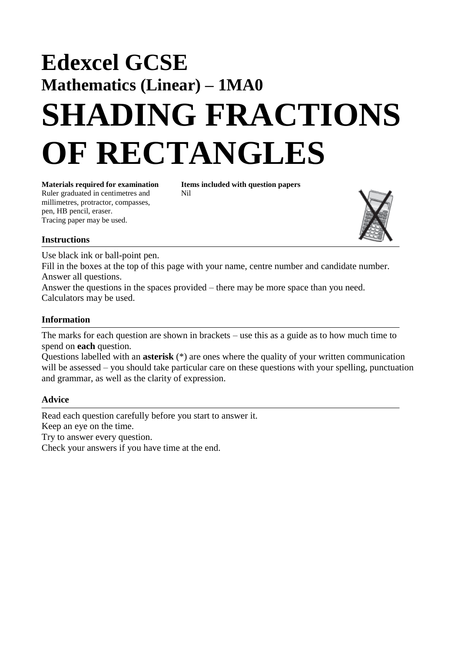## **Edexcel GCSE Mathematics (Linear) – 1MA0 SHADING FRACTIONS OF RECTANGLES**

**Materials required for examination Items included with question papers** Ruler graduated in centimetres and Nil millimetres, protractor, compasses, pen, HB pencil, eraser. Tracing paper may be used.



## **Instructions**

Use black ink or ball-point pen.

Fill in the boxes at the top of this page with your name, centre number and candidate number. Answer all questions.

Answer the questions in the spaces provided – there may be more space than you need. Calculators may be used.

## **Information**

The marks for each question are shown in brackets – use this as a guide as to how much time to spend on **each** question.

Questions labelled with an **asterisk** (\*) are ones where the quality of your written communication will be assessed – you should take particular care on these questions with your spelling, punctuation and grammar, as well as the clarity of expression.

## **Advice**

Read each question carefully before you start to answer it.

Keep an eye on the time.

Try to answer every question.

Check your answers if you have time at the end.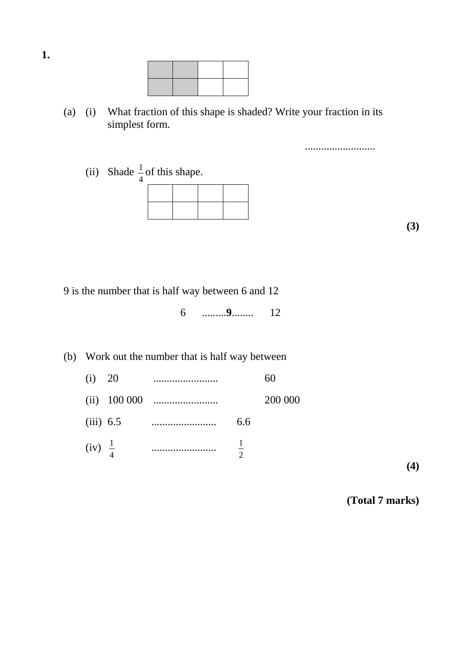(a) (i) What fraction of this shape is shaded? Write your fraction in its simplest form.

(ii) Shade  $\frac{1}{2}$  of this shape. 4 1



**(3)**

..........................

9 is the number that is half way between 6 and 12

6 .........**9**........ 12

(b) Work out the number that is half way between

| (i) 20             | . |          | 60      |
|--------------------|---|----------|---------|
|                    |   |          | 200 000 |
| $(iii)$ 6.5        |   | 6.6      |         |
| $(iv) \frac{1}{4}$ |   | $\Omega$ |         |

**(4)**

**(Total 7 marks)**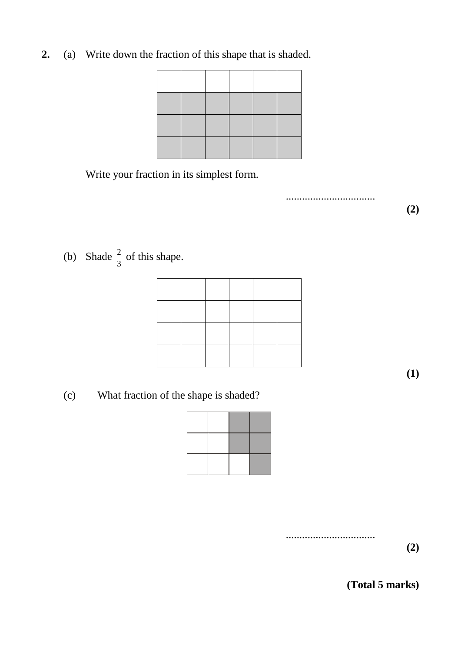**2.** (a) Write down the fraction of this shape that is shaded.



Write your fraction in its simplest form.

.................................

**(2)**

(b) Shade  $\frac{2}{3}$  of this shape. 2

**(1)**

(c) What fraction of the shape is shaded?



**(2)**

**(Total 5 marks)**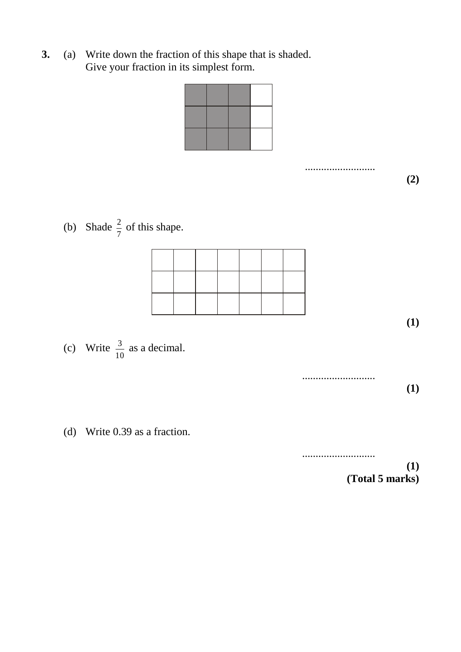**3.** (a) Write down the fraction of this shape that is shaded. Give your fraction in its simplest form.

..........................

**(2)**

**(1)**

**(1)**

**(1)**

(b) Shade  $\frac{2}{5}$  of this shape. 7 2



- (c) Write  $\frac{3}{10}$  as a decimal. 10 3
- (d) Write 0.39 as a fraction.

...........................

...........................

**(Total 5 marks)**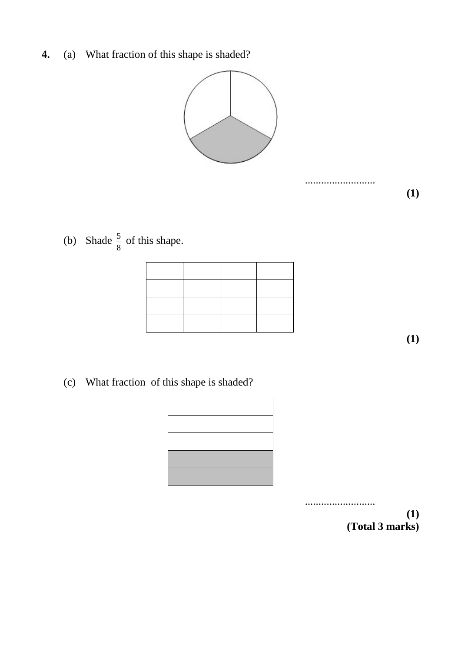**4.** (a) What fraction of this shape is shaded?



..........................

(b) Shade  $\frac{5}{8}$  of this shape. 5

**(1)**

**(1)**

(c) What fraction of this shape is shaded?



.......................... **(1) (Total 3 marks)**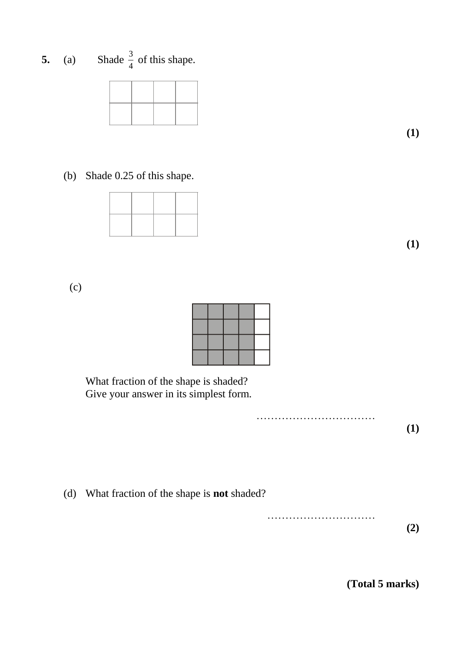**5.** (a) Shade  $\frac{3}{4}$  of this shape. 3

**(1)**

(b) Shade 0.25 of this shape.

**(1)**

(c)

What fraction of the shape is shaded? Give your answer in its simplest form.

> ……………………………………… **(1)**

(d) What fraction of the shape is **not** shaded?

………………………… **(2)**

**(Total 5 marks)**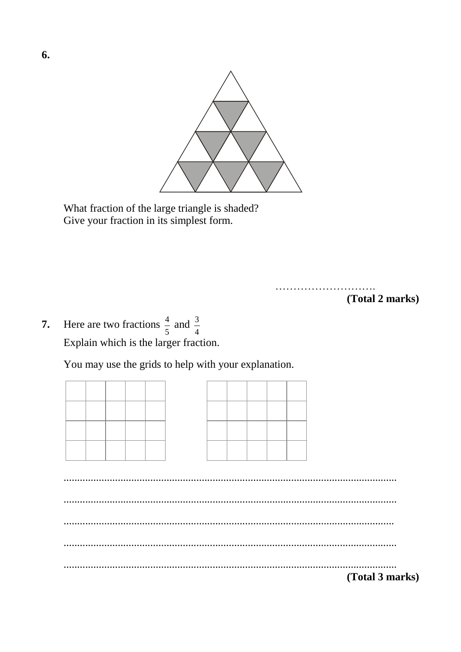

What fraction of the large triangle is shaded? Give your fraction in its simplest form.

> (Total 2 marks)

Here are two fractions  $\frac{4}{5}$  and  $\frac{3}{4}$ 7. Explain which is the larger fraction.

You may use the grids to help with your explanation.